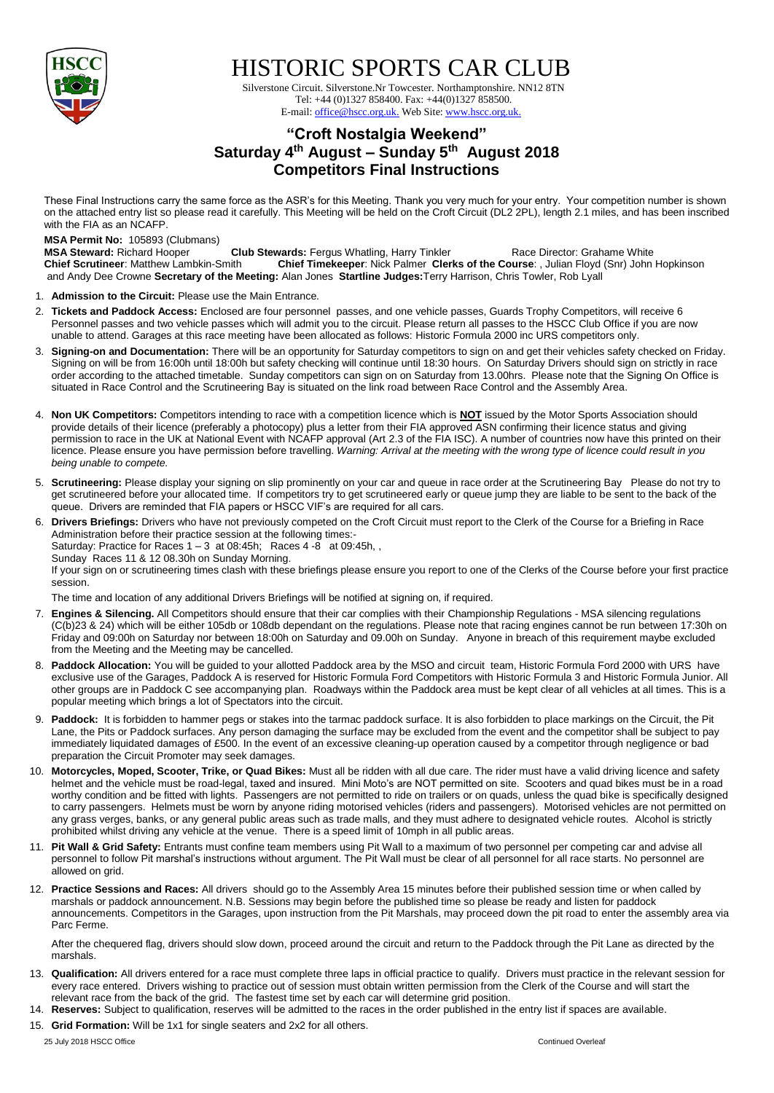

## HISTORIC SPORTS CAR CLUB

 Silverstone Circuit. Silverstone.Nr Towcester. Northamptonshire. NN12 8TN Tel: +44 (0)1327 858400. Fax: +44(0)1327 858500. E-mail: office@hscc.org.uk. Web Site: www.hscc.org.uk.

## **"Croft Nostalgia Weekend" Saturday 4 th August – Sunday 5 th August 2018 Competitors Final Instructions**

These Final Instructions carry the same force as the ASR's for this Meeting. Thank you very much for your entry. Your competition number is shown on the attached entry list so please read it carefully. This Meeting will be held on the Croft Circuit (DL2 2PL), length 2.1 miles, and has been inscribed with the FIA as an NCAFP.

## **MSA Permit No:** 105893 (Clubmans)

**MSA Steward:** Richard Hooper **Club Stewards:** Fergus Whatling, Harry Tinkler Race Director: Grahame White Chief Scrutineer: Matthew Lambkin-Smith Chief Timekeeper: Nick Palmer Clerks of the Course: , Julian Floyd (Snr) Jo **Chief Scrutineer**: Matthew Lambkin-Smith **Chief Timekeeper**: Nick Palmer **Clerks of the Course**: , Julian Floyd (Snr) John Hopkinson and Andy Dee Crowne **Secretary of the Meeting:** Alan Jones **Startline Judges:**Terry Harrison, Chris Towler, Rob Lyall

- 1. **Admission to the Circuit:** Please use the Main Entrance.
- 2. **Tickets and Paddock Access:** Enclosed are four personnel passes, and one vehicle passes, Guards Trophy Competitors, will receive 6 Personnel passes and two vehicle passes which will admit you to the circuit. Please return all passes to the HSCC Club Office if you are now unable to attend. Garages at this race meeting have been allocated as follows: Historic Formula 2000 inc URS competitors only.
- 3. **Signing-on and Documentation:** There will be an opportunity for Saturday competitors to sign on and get their vehicles safety checked on Friday. Signing on will be from 16:00h until 18:00h but safety checking will continue until 18:30 hours. On Saturday Drivers should sign on strictly in race order according to the attached timetable. Sunday competitors can sign on on Saturday from 13.00hrs. Please note that the Signing On Office is situated in Race Control and the Scrutineering Bay is situated on the link road between Race Control and the Assembly Area.
- 4. **Non UK Competitors:** Competitors intending to race with a competition licence which is **NOT** issued by the Motor Sports Association should provide details of their licence (preferably a photocopy) plus a letter from their FIA approved ASN confirming their licence status and giving permission to race in the UK at National Event with NCAFP approval (Art 2.3 of the FIA ISC). A number of countries now have this printed on their licence. Please ensure you have permission before travelling. *Warning: Arrival at the meeting with the wrong type of licence could result in you being unable to compete.*
- 5. **Scrutineering:** Please display your signing on slip prominently on your car and queue in race order at the Scrutineering Bay Please do not try to get scrutineered before your allocated time. If competitors try to get scrutineered early or queue jump they are liable to be sent to the back of the queue. Drivers are reminded that FIA papers or HSCC VIF's are required for all cars.
- 6. **Drivers Briefings:** Drivers who have not previously competed on the Croft Circuit must report to the Clerk of the Course for a Briefing in Race Administration before their practice session at the following times:- Saturday: Practice for Races  $1 - 3$  at 08:45h; Races  $4 - 8$  at 09:45h, Sunday Races 11 & 12 08.30h on Sunday Morning. If your sign on or scrutineering times clash with these briefings please ensure you report to one of the Clerks of the Course before your first practice session.

The time and location of any additional Drivers Briefings will be notified at signing on, if required.

- 7. **Engines & Silencing.** All Competitors should ensure that their car complies with their Championship Regulations MSA silencing regulations (C(b)23 & 24) which will be either 105db or 108db dependant on the regulations. Please note that racing engines cannot be run between 17:30h on Friday and 09:00h on Saturday nor between 18:00h on Saturday and 09.00h on Sunday. Anyone in breach of this requirement maybe excluded from the Meeting and the Meeting may be cancelled.
- 8. **Paddock Allocation:** You will be guided to your allotted Paddock area by the MSO and circuit team, Historic Formula Ford 2000 with URS have exclusive use of the Garages, Paddock A is reserved for Historic Formula Ford Competitors with Historic Formula 3 and Historic Formula Junior. All other groups are in Paddock C see accompanying plan. Roadways within the Paddock area must be kept clear of all vehicles at all times. This is a popular meeting which brings a lot of Spectators into the circuit.
- 9. **Paddock:** It is forbidden to hammer pegs or stakes into the tarmac paddock surface. It is also forbidden to place markings on the Circuit, the Pit Lane, the Pits or Paddock surfaces. Any person damaging the surface may be excluded from the event and the competitor shall be subject to pay immediately liquidated damages of £500. In the event of an excessive cleaning-up operation caused by a competitor through negligence or bad preparation the Circuit Promoter may seek damages.
- 10. **Motorcycles, Moped, Scooter, Trike, or Quad Bikes:** Must all be ridden with all due care. The rider must have a valid driving licence and safety helmet and the vehicle must be road-legal, taxed and insured. Mini Moto's are NOT permitted on site. Scooters and quad bikes must be in a road worthy condition and be fitted with lights. Passengers are not permitted to ride on trailers or on quads, unless the quad bike is specifically designed to carry passengers. Helmets must be worn by anyone riding motorised vehicles (riders and passengers). Motorised vehicles are not permitted on any grass verges, banks, or any general public areas such as trade malls, and they must adhere to designated vehicle routes. Alcohol is strictly prohibited whilst driving any vehicle at the venue. There is a speed limit of 10mph in all public areas.
- 11. **Pit Wall & Grid Safety:** Entrants must confine team members using Pit Wall to a maximum of two personnel per competing car and advise all personnel to follow Pit marshal's instructions without argument. The Pit Wall must be clear of all personnel for all race starts. No personnel are allowed on grid.
- 12. **Practice Sessions and Races:** All drivers should go to the Assembly Area 15 minutes before their published session time or when called by marshals or paddock announcement. N.B. Sessions may begin before the published time so please be ready and listen for paddock announcements. Competitors in the Garages, upon instruction from the Pit Marshals, may proceed down the pit road to enter the assembly area via Parc Ferme.

After the chequered flag, drivers should slow down, proceed around the circuit and return to the Paddock through the Pit Lane as directed by the marshals.

- 13. **Qualification:** All drivers entered for a race must complete three laps in official practice to qualify. Drivers must practice in the relevant session for every race entered. Drivers wishing to practice out of session must obtain written permission from the Clerk of the Course and will start the relevant race from the back of the grid. The fastest time set by each car will determine grid position.
- 14. **Reserves:** Subject to qualification, reserves will be admitted to the races in the order published in the entry list if spaces are available.
- 15. **Grid Formation:** Will be 1x1 for single seaters and 2x2 for all others.